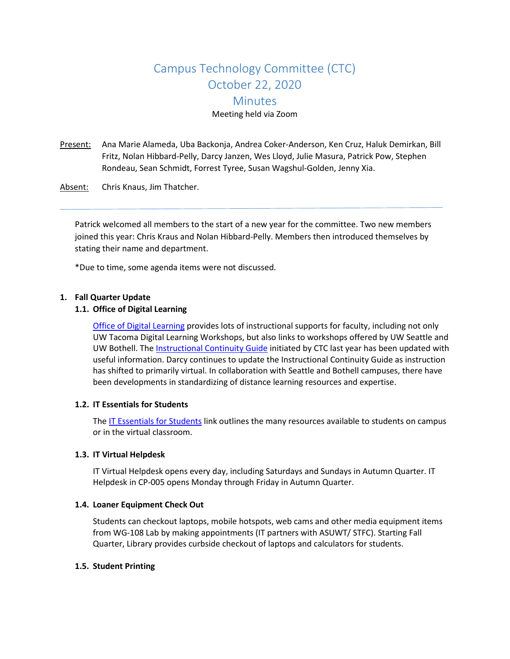# Campus Technology Committee (CTC) October 22, 2020 **Minutes** Meeting held via Zoom

- Present: Ana Marie Alameda, Uba Backonja, Andrea Coker-Anderson, Ken Cruz, Haluk Demirkan, Bill Fritz, Nolan Hibbard-Pelly, Darcy Janzen, Wes Lloyd, Julie Masura, Patrick Pow, Stephen Rondeau, Sean Schmidt, Forrest Tyree, Susan Wagshul-Golden, Jenny Xia.
- Absent: Chris Knaus, Jim Thatcher.

Patrick welcomed all members to the start of a new year for the committee. Two new members joined this year: Chris Kraus and Nolan Hibbard-Pelly. Members then introduced themselves by stating their name and department.

\*Due to time, some agenda items were not discussed.

#### **1. Fall Quarter Update**

#### **1.1. Office of Digital Learning**

[Office of Digital Learning](http://uwtdev3.tacoma.uw.edu/%7Ejamesini/uwtd8main_staging/web/digital-learning) provides lots of instructional supports for faculty, including not only UW Tacoma Digital Learning Workshops, but also links to workshops offered by UW Seattle and UW Bothell. The [Instructional Continuity Guide](http://uwtdev3.tacoma.uw.edu/%7Ejamesini/uwtd8main_staging/web/digital-learning/instructional-continuity) initiated by CTC last year has been updated with useful information. Darcy continues to update the Instructional Continuity Guide as instruction has shifted to primarily virtual. In collaboration with Seattle and Bothell campuses, there have been developments in standardizing of distance learning resources and expertise.

#### **1.2. IT Essentials for Students**

Th[e IT Essentials for Students](https://www.tacoma.uw.edu/information-technology/it-essentials-students) link outlines the many resources available to students on campus or in the virtual classroom.

#### **1.3. IT Virtual Helpdesk**

IT Virtual Helpdesk opens every day, including Saturdays and Sundays in Autumn Quarter. IT Helpdesk in CP-005 opens Monday through Friday in Autumn Quarter.

#### **1.4. Loaner Equipment Check Out**

Students can checkout laptops, mobile hotspots, web cams and other media equipment items from WG-108 Lab by making appointments (IT partners with ASUWT/ STFC). Starting Fall Quarter, Library provides curbside checkout of laptops and calculators for students.

#### **1.5. Student Printing**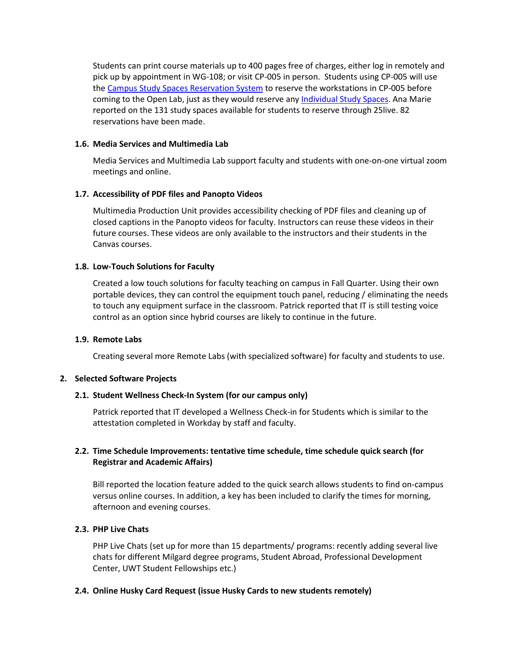Students can print course materials up to 400 pages free of charges, either log in remotely and pick up by appointment in WG-108; or visit CP-005 in person. Students using CP-005 will use the [Campus Study Spaces Reservation System](https://www.tacoma.uw.edu/Study) to reserve the workstations in CP-005 before coming to the Open Lab, just as they would reserve any [Individual Study Spaces.](https://www.tacoma.uw.edu/study/spaces) Ana Marie reported on the 131 study spaces available for students to reserve through 25live. 82 reservations have been made.

## **1.6. Media Services and Multimedia Lab**

Media Services and Multimedia Lab support faculty and students with one-on-one virtual zoom meetings and online.

## **1.7. Accessibility of PDF files and Panopto Videos**

Multimedia Production Unit provides accessibility checking of PDF files and cleaning up of closed captions in the Panopto videos for faculty. Instructors can reuse these videos in their future courses. These videos are only available to the instructors and their students in the Canvas courses.

## **1.8. Low-Touch Solutions for Faculty**

Created a low touch solutions for faculty teaching on campus in Fall Quarter. Using their own portable devices, they can control the equipment touch panel, reducing / eliminating the needs to touch any equipment surface in the classroom. Patrick reported that IT is still testing voice control as an option since hybrid courses are likely to continue in the future.

## **1.9. Remote Labs**

Creating several more Remote Labs (with specialized software) for faculty and students to use.

# **2. Selected Software Projects**

# **2.1. Student Wellness Check-In System (for our campus only)**

Patrick reported that IT developed a Wellness Check-in for Students which is similar to the attestation completed in Workday by staff and faculty.

# **2.2. Time Schedule Improvements: tentative time schedule, time schedule quick search (for Registrar and Academic Affairs)**

Bill reported the location feature added to the quick search allows students to find on-campus versus online courses. In addition, a key has been included to clarify the times for morning, afternoon and evening courses.

# **2.3. PHP Live Chats**

PHP Live Chats (set up for more than 15 departments/ programs: recently adding several live chats for different Milgard degree programs, Student Abroad, Professional Development Center, UWT Student Fellowships etc.)

## **2.4. Online Husky Card Request (issue Husky Cards to new students remotely)**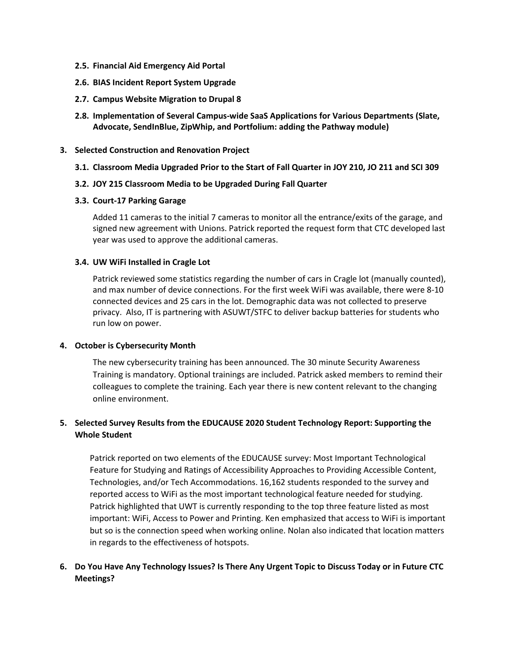- **2.5. Financial Aid Emergency Aid Portal**
- **2.6. BIAS Incident Report System Upgrade**
- **2.7. Campus Website Migration to Drupal 8**
- **2.8. Implementation of Several Campus-wide SaaS Applications for Various Departments (Slate, Advocate, SendInBlue, ZipWhip, and Portfolium: adding the Pathway module)**
- **3. Selected Construction and Renovation Project**
	- **3.1. Classroom Media Upgraded Prior to the Start of Fall Quarter in JOY 210, JO 211 and SCI 309**
	- **3.2. JOY 215 Classroom Media to be Upgraded During Fall Quarter**

#### **3.3. Court-17 Parking Garage**

Added 11 cameras to the initial 7 cameras to monitor all the entrance/exits of the garage, and signed new agreement with Unions. Patrick reported the request form that CTC developed last year was used to approve the additional cameras.

#### **3.4. UW WiFi Installed in Cragle Lot**

Patrick reviewed some statistics regarding the number of cars in Cragle lot (manually counted), and max number of device connections. For the first week WiFi was available, there were 8-10 connected devices and 25 cars in the lot. Demographic data was not collected to preserve privacy. Also, IT is partnering with ASUWT/STFC to deliver backup batteries for students who run low on power.

## **4. October is Cybersecurity Month**

The new cybersecurity training has been announced. The 30 minute Security Awareness Training is mandatory. Optional trainings are included. Patrick asked members to remind their colleagues to complete the training. Each year there is new content relevant to the changing online environment.

# **5. Selected Survey Results from the EDUCAUSE 2020 Student Technology Report: Supporting the Whole Student**

Patrick reported on two elements of the EDUCAUSE survey: Most Important Technological Feature for Studying and Ratings of Accessibility Approaches to Providing Accessible Content, Technologies, and/or Tech Accommodations. 16,162 students responded to the survey and reported access to WiFi as the most important technological feature needed for studying. Patrick highlighted that UWT is currently responding to the top three feature listed as most important: WiFi, Access to Power and Printing. Ken emphasized that access to WiFi is important but so is the connection speed when working online. Nolan also indicated that location matters in regards to the effectiveness of hotspots.

# **6. Do You Have Any Technology Issues? Is There Any Urgent Topic to Discuss Today or in Future CTC Meetings?**